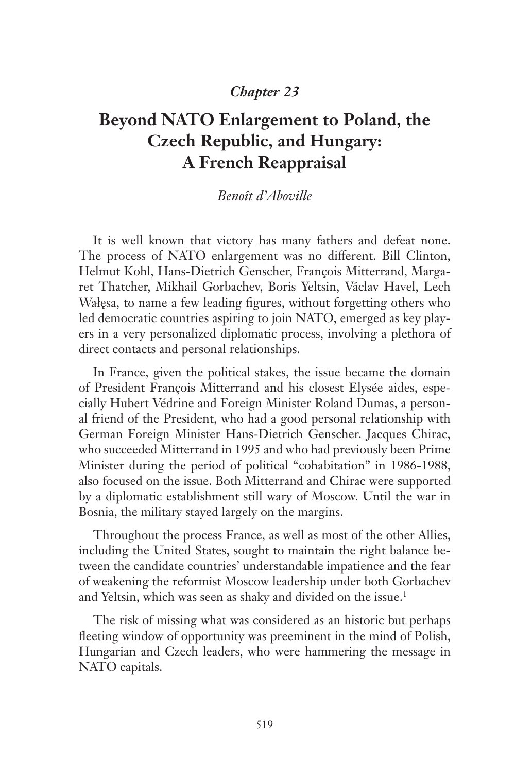## *Chapter 23*

# <span id="page-0-0"></span>**Beyond NATO Enlargement to Poland, the Czech Republic, and Hungary: A French Reappraisal**

## *Benoît d'Aboville*

It is well known that victory has many fathers and defeat none. The process of NATO enlargement was no different. Bill Clinton, Helmut Kohl, Hans-Dietrich Genscher, François Mitterrand, Margaret Thatcher, Mikhail Gorbachev, Boris Yeltsin, Václav Havel, Lech Wałęsa, to name a few leading figures, without forgetting others who led democratic countries aspiring to join NATO, emerged as key players in a very personalized diplomatic process, involving a plethora of direct contacts and personal relationships.

In France, given the political stakes, the issue became the domain of President François Mitterrand and his closest Elysée aides, especially Hubert Védrine and Foreign Minister Roland Dumas, a personal friend of the President, who had a good personal relationship with German Foreign Minister Hans-Dietrich Genscher. Jacques Chirac, who succeeded Mitterrand in 1995 and who had previously been Prime Minister during the period of political "cohabitation" in 1986-1988, also focused on the issue. Both Mitterrand and Chirac were supported by a diplomatic establishment still wary of Moscow. Until the war in Bosnia, the military stayed largely on the margins.

Throughout the process France, as well as most of the other Allies, including the United States, sought to maintain the right balance between the candidate countries' understandable impatience and the fear of weakening the reformist Moscow leadership under both Gorbachev and Yeltsin, which was seen as shaky and divided on the issue.<sup>[1](#page-26-0)</sup>

The risk of missing what was considered as an historic but perhaps fleeting window of opportunity was preeminent in the mind of Polish, Hungarian and Czech leaders, who were hammering the message in NATO capitals.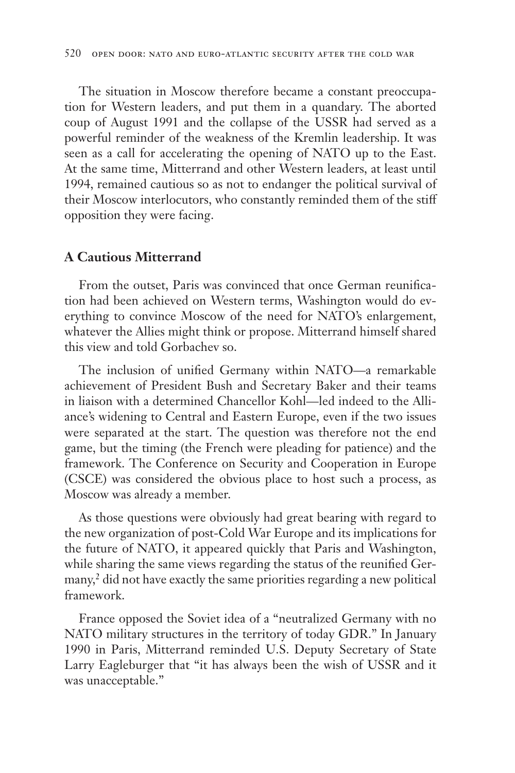<span id="page-1-0"></span>The situation in Moscow therefore became a constant preoccupation for Western leaders, and put them in a quandary. The aborted coup of August 1991 and the collapse of the USSR had served as a powerful reminder of the weakness of the Kremlin leadership. It was seen as a call for accelerating the opening of NATO up to the East. At the same time, Mitterrand and other Western leaders, at least until 1994, remained cautious so as not to endanger the political survival of their Moscow interlocutors, who constantly reminded them of the stiff opposition they were facing.

#### **A Cautious Mitterrand**

From the outset, Paris was convinced that once German reunification had been achieved on Western terms, Washington would do everything to convince Moscow of the need for NATO's enlargement, whatever the Allies might think or propose. Mitterrand himself shared this view and told Gorbachev so.

The inclusion of unified Germany within NATO—a remarkable achievement of President Bush and Secretary Baker and their teams in liaison with a determined Chancellor Kohl—led indeed to the Alliance's widening to Central and Eastern Europe, even if the two issues were separated at the start. The question was therefore not the end game, but the timing (the French were pleading for patience) and the framework. The Conference on Security and Cooperation in Europe (CSCE) was considered the obvious place to host such a process, as Moscow was already a member.

As those questions were obviously had great bearing with regard to the new organization of post-Cold War Europe and its implications for the future of NATO, it appeared quickly that Paris and Washington, while sharing the same views regarding the status of the reunified Germany,<sup>2</sup> did not have exactly the same priorities regarding a new political framework.

France opposed the Soviet idea of a "neutralized Germany with no NATO military structures in the territory of today GDR." In January 1990 in Paris, Mitterrand reminded U.S. Deputy Secretary of State Larry Eagleburger that "it has always been the wish of USSR and it was unacceptable."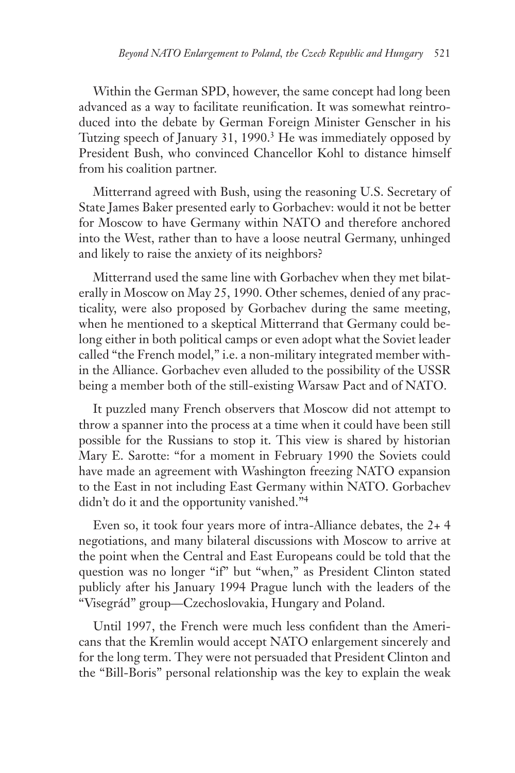<span id="page-2-0"></span>Within the German SPD, however, the same concept had long been advanced as a way to facilitate reunification. It was somewhat reintroduced into the debate by German Foreign Minister Genscher in his Tutzing speech of January [3](#page-26-0)1, 1990.<sup>3</sup> He was immediately opposed by President Bush, who convinced Chancellor Kohl to distance himself from his coalition partner.

Mitterrand agreed with Bush, using the reasoning U.S. Secretary of State James Baker presented early to Gorbachev: would it not be better for Moscow to have Germany within NATO and therefore anchored into the West, rather than to have a loose neutral Germany, unhinged and likely to raise the anxiety of its neighbors?

Mitterrand used the same line with Gorbachev when they met bilaterally in Moscow on May 25, 1990. Other schemes, denied of any practicality, were also proposed by Gorbachev during the same meeting, when he mentioned to a skeptical Mitterrand that Germany could belong either in both political camps or even adopt what the Soviet leader called "the French model," i.e. a non-military integrated member within the Alliance. Gorbachev even alluded to the possibility of the USSR being a member both of the still-existing Warsaw Pact and of NATO.

It puzzled many French observers that Moscow did not attempt to throw a spanner into the process at a time when it could have been still possible for the Russians to stop it. This view is shared by historian Mary E. Sarotte: "for a moment in February 1990 the Soviets could have made an agreement with Washington freezing NATO expansion to the East in not including East Germany within NATO. Gorbachev didn't do it and the opportunity vanished."<sup>[4](#page-26-0)</sup>

Even so, it took four years more of intra-Alliance debates, the 2+ 4 negotiations, and many bilateral discussions with Moscow to arrive at the point when the Central and East Europeans could be told that the question was no longer "if" but "when," as President Clinton stated publicly after his January 1994 Prague lunch with the leaders of the "Visegrád" group—Czechoslovakia, Hungary and Poland.

Until 1997, the French were much less confident than the Americans that the Kremlin would accept NATO enlargement sincerely and for the long term. They were not persuaded that President Clinton and the "Bill-Boris" personal relationship was the key to explain the weak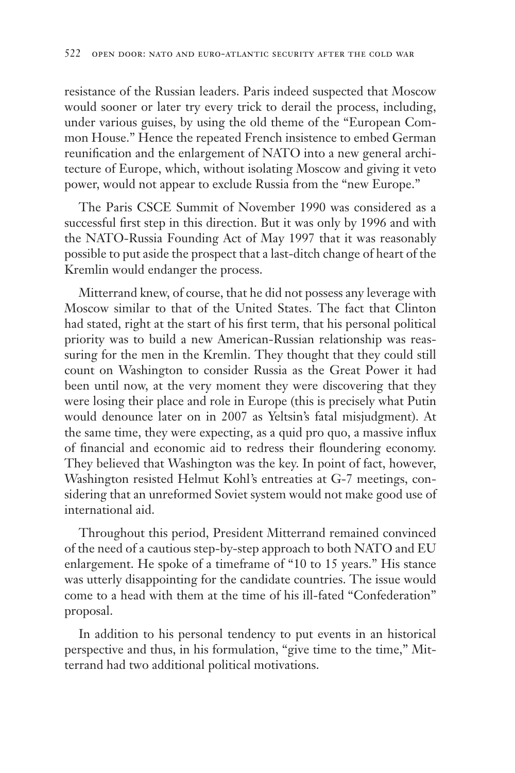resistance of the Russian leaders. Paris indeed suspected that Moscow would sooner or later try every trick to derail the process, including, under various guises, by using the old theme of the "European Common House." Hence the repeated French insistence to embed German reunification and the enlargement of NATO into a new general architecture of Europe, which, without isolating Moscow and giving it veto power, would not appear to exclude Russia from the "new Europe."

The Paris CSCE Summit of November 1990 was considered as a successful first step in this direction. But it was only by 1996 and with the NATO-Russia Founding Act of May 1997 that it was reasonably possible to put aside the prospect that a last-ditch change of heart of the Kremlin would endanger the process.

Mitterrand knew, of course, that he did not possess any leverage with Moscow similar to that of the United States. The fact that Clinton had stated, right at the start of his first term, that his personal political priority was to build a new American-Russian relationship was reassuring for the men in the Kremlin. They thought that they could still count on Washington to consider Russia as the Great Power it had been until now, at the very moment they were discovering that they were losing their place and role in Europe (this is precisely what Putin would denounce later on in 2007 as Yeltsin's fatal misjudgment). At the same time, they were expecting, as a quid pro quo, a massive influx of financial and economic aid to redress their floundering economy. They believed that Washington was the key. In point of fact, however, Washington resisted Helmut Kohl's entreaties at G-7 meetings, considering that an unreformed Soviet system would not make good use of international aid.

Throughout this period, President Mitterrand remained convinced of the need of a cautious step-by-step approach to both NATO and EU enlargement. He spoke of a timeframe of "10 to 15 years." His stance was utterly disappointing for the candidate countries. The issue would come to a head with them at the time of his ill-fated "Confederation" proposal.

In addition to his personal tendency to put events in an historical perspective and thus, in his formulation, "give time to the time," Mitterrand had two additional political motivations.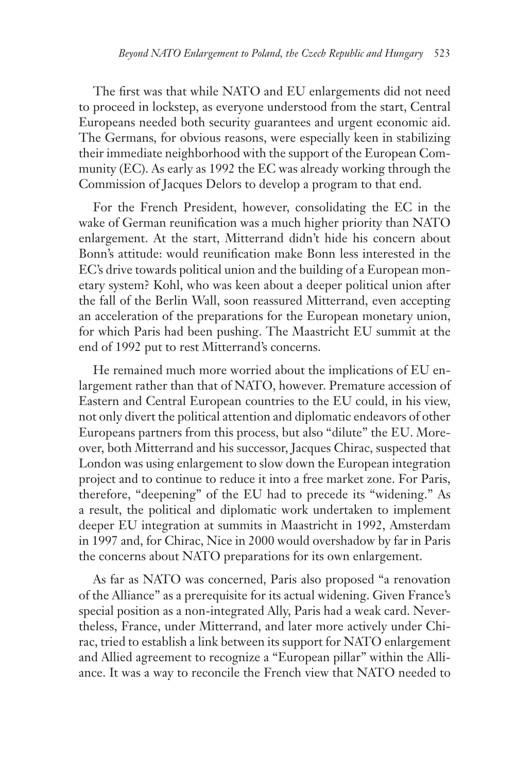The first was that while NATO and EU enlargements did not need to proceed in lockstep, as everyone understood from the start, Central Europeans needed both security guarantees and urgent economic aid. The Germans, for obvious reasons, were especially keen in stabilizing their immediate neighborhood with the support of the European Community (EC). As early as 1992 the EC was already working through the Commission of Jacques Delors to develop a program to that end.

For the French President, however, consolidating the EC in the wake of German reunification was a much higher priority than NATO enlargement. At the start, Mitterrand didn't hide his concern about Bonn's attitude: would reunification make Bonn less interested in the EC's drive towards political union and the building of a European monetary system? Kohl, who was keen about a deeper political union after the fall of the Berlin Wall, soon reassured Mitterrand, even accepting an acceleration of the preparations for the European monetary union, for which Paris had been pushing. The Maastricht EU summit at the end of 1992 put to rest Mitterrand's concerns.

He remained much more worried about the implications of EU enlargement rather than that of NATO, however. Premature accession of Eastern and Central European countries to the EU could, in his view, not only divert the political attention and diplomatic endeavors of other Europeans partners from this process, but also "dilute" the EU. Moreover, both Mitterrand and his successor, Jacques Chirac, suspected that London was using enlargement to slow down the European integration project and to continue to reduce it into a free market zone. For Paris, therefore, "deepening" of the EU had to precede its "widening." As a result, the political and diplomatic work undertaken to implement deeper EU integration at summits in Maastricht in 1992, Amsterdam in 1997 and, for Chirac, Nice in 2000 would overshadow by far in Paris the concerns about NATO preparations for its own enlargement.

As far as NATO was concerned, Paris also proposed "a renovation of the Alliance" as a prerequisite for its actual widening. Given France's special position as a non-integrated Ally, Paris had a weak card. Nevertheless, France, under Mitterrand, and later more actively under Chirac, tried to establish a link between its support for NATO enlargement and Allied agreement to recognize a "European pillar" within the Alliance. It was a way to reconcile the French view that NATO needed to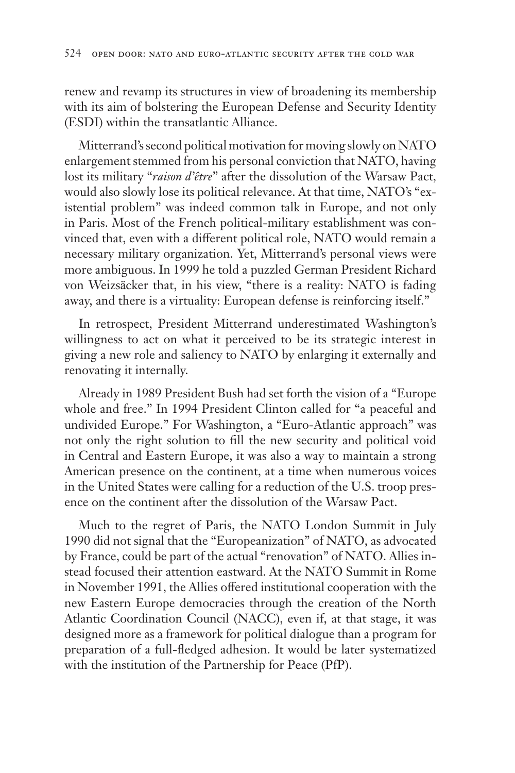renew and revamp its structures in view of broadening its membership with its aim of bolstering the European Defense and Security Identity (ESDI) within the transatlantic Alliance.

Mitterrand's second political motivation for moving slowly on NATO enlargement stemmed from his personal conviction that NATO, having lost its military "*raison d'être*" after the dissolution of the Warsaw Pact, would also slowly lose its political relevance. At that time, NATO's "existential problem" was indeed common talk in Europe, and not only in Paris. Most of the French political-military establishment was convinced that, even with a different political role, NATO would remain a necessary military organization. Yet, Mitterrand's personal views were more ambiguous. In 1999 he told a puzzled German President Richard von Weizsӓcker that, in his view, "there is a reality: NATO is fading away, and there is a virtuality: European defense is reinforcing itself."

In retrospect, President Mitterrand underestimated Washington's willingness to act on what it perceived to be its strategic interest in giving a new role and saliency to NATO by enlarging it externally and renovating it internally.

Already in 1989 President Bush had set forth the vision of a "Europe whole and free." In 1994 President Clinton called for "a peaceful and undivided Europe." For Washington, a "Euro-Atlantic approach" was not only the right solution to fill the new security and political void in Central and Eastern Europe, it was also a way to maintain a strong American presence on the continent, at a time when numerous voices in the United States were calling for a reduction of the U.S. troop presence on the continent after the dissolution of the Warsaw Pact.

Much to the regret of Paris, the NATO London Summit in July 1990 did not signal that the "Europeanization" of NATO, as advocated by France, could be part of the actual "renovation" of NATO. Allies instead focused their attention eastward. At the NATO Summit in Rome in November 1991, the Allies offered institutional cooperation with the new Eastern Europe democracies through the creation of the North Atlantic Coordination Council (NACC), even if, at that stage, it was designed more as a framework for political dialogue than a program for preparation of a full-fledged adhesion. It would be later systematized with the institution of the Partnership for Peace (PfP).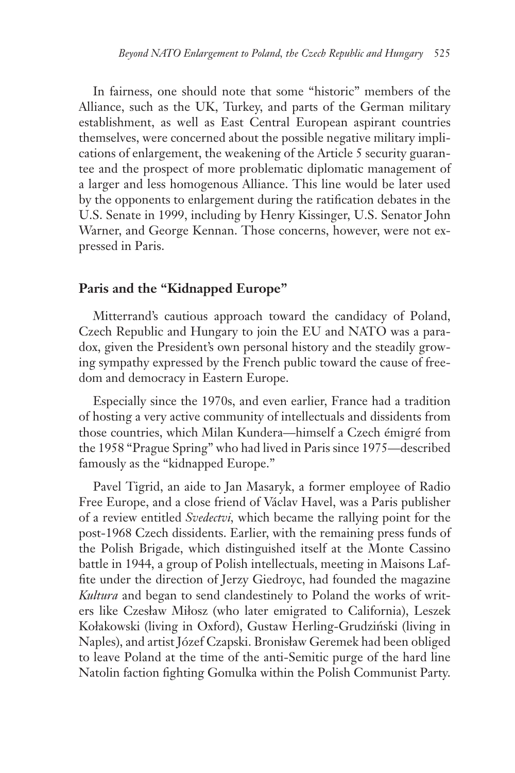In fairness, one should note that some "historic" members of the Alliance, such as the UK, Turkey, and parts of the German military establishment, as well as East Central European aspirant countries themselves, were concerned about the possible negative military implications of enlargement, the weakening of the Article 5 security guarantee and the prospect of more problematic diplomatic management of a larger and less homogenous Alliance. This line would be later used by the opponents to enlargement during the ratification debates in the U.S. Senate in 1999, including by Henry Kissinger, U.S. Senator John Warner, and George Kennan. Those concerns, however, were not expressed in Paris.

#### **Paris and the "Kidnapped Europe"**

Mitterrand's cautious approach toward the candidacy of Poland, Czech Republic and Hungary to join the EU and NATO was a paradox, given the President's own personal history and the steadily growing sympathy expressed by the French public toward the cause of freedom and democracy in Eastern Europe.

Especially since the 1970s, and even earlier, France had a tradition of hosting a very active community of intellectuals and dissidents from those countries, which Milan Kundera—himself a Czech émigré from the 1958 "Prague Spring" who had lived in Paris since 1975—described famously as the "kidnapped Europe."

Pavel Tigrid, an aide to Jan Masaryk, a former employee of Radio Free Europe, and a close friend of Václav Havel, was a Paris publisher of a review entitled *Svedectvi,* which became the rallying point for the post-1968 Czech dissidents. Earlier, with the remaining press funds of the Polish Brigade, which distinguished itself at the Monte Cassino battle in 1944, a group of Polish intellectuals, meeting in Maisons Laffite under the direction of Jerzy Giedroyc, had founded the magazine *Kultura* and began to send clandestinely to Poland the works of writers like Czesław Miłosz (who later emigrated to California), Leszek Kołakowski (living in Oxford), Gustaw Herling-Grudziński (living in Naples), and artist Józef Czapski. Bronisław Geremek had been obliged to leave Poland at the time of the anti-Semitic purge of the hard line Natolin faction fighting Gomulka within the Polish Communist Party.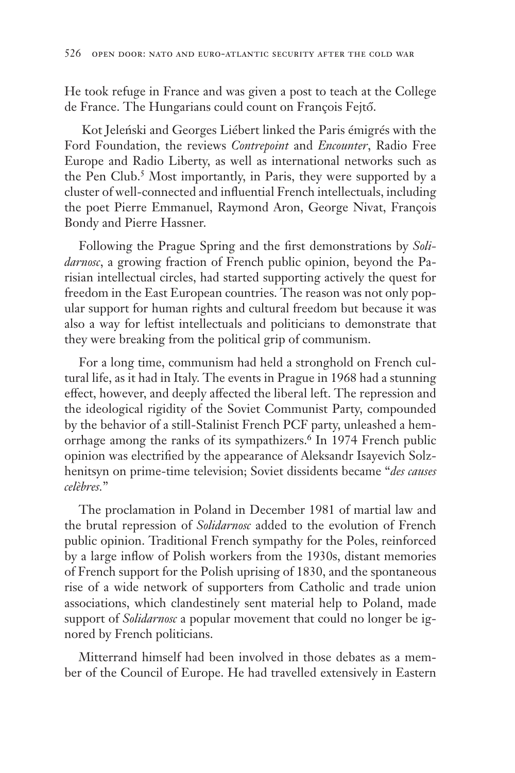<span id="page-7-0"></span>He took refuge in France and was given a post to teach at the College de France. The Hungarians could count on François Fejtő.

 Kot Jeleński and Georges Liébert linked the Paris émigrés with the Ford Foundation, the reviews *Contrepoint* and *Encounter*, Radio Free Europe and Radio Liberty, as well as international networks such as the Pen Club.<sup>[5](#page-26-0)</sup> Most importantly, in Paris, they were supported by a cluster of well-connected and influential French intellectuals, including the poet Pierre Emmanuel, Raymond Aron, George Nivat, François Bondy and Pierre Hassner.

Following the Prague Spring and the first demonstrations by *Solidarnosc*, a growing fraction of French public opinion, beyond the Parisian intellectual circles, had started supporting actively the quest for freedom in the East European countries. The reason was not only popular support for human rights and cultural freedom but because it was also a way for leftist intellectuals and politicians to demonstrate that they were breaking from the political grip of communism.

For a long time, communism had held a stronghold on French cultural life, as it had in Italy. The events in Prague in 1968 had a stunning effect, however, and deeply affected the liberal left. The repression and the ideological rigidity of the Soviet Communist Party, compounded by the behavior of a still-Stalinist French PCF party, unleashed a hem-orrhage among the ranks of its sympathizers.<sup>[6](#page-26-0)</sup> In 1974 French public opinion was electrified by the appearance of Aleksandr Isayevich Solzhenitsyn on prime-time television; Soviet dissidents became "*des causes celèbres.*"

The proclamation in Poland in December 1981 of martial law and the brutal repression of *Solidarnosc* added to the evolution of French public opinion. Traditional French sympathy for the Poles, reinforced by a large inflow of Polish workers from the 1930s, distant memories of French support for the Polish uprising of 1830, and the spontaneous rise of a wide network of supporters from Catholic and trade union associations, which clandestinely sent material help to Poland, made support of *Solidarnosc* a popular movement that could no longer be ignored by French politicians.

Mitterrand himself had been involved in those debates as a member of the Council of Europe. He had travelled extensively in Eastern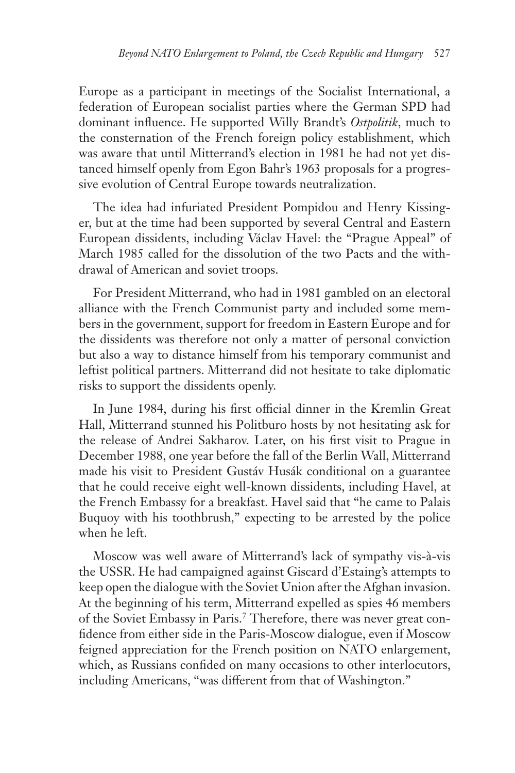<span id="page-8-0"></span>Europe as a participant in meetings of the Socialist International, a federation of European socialist parties where the German SPD had dominant influence. He supported Willy Brandt's *Ostpolitik*, much to the consternation of the French foreign policy establishment, which was aware that until Mitterrand's election in 1981 he had not yet distanced himself openly from Egon Bahr's 1963 proposals for a progressive evolution of Central Europe towards neutralization.

The idea had infuriated President Pompidou and Henry Kissinger, but at the time had been supported by several Central and Eastern European dissidents, including Václav Havel: the "Prague Appeal" of March 1985 called for the dissolution of the two Pacts and the withdrawal of American and soviet troops.

For President Mitterrand, who had in 1981 gambled on an electoral alliance with the French Communist party and included some members in the government, support for freedom in Eastern Europe and for the dissidents was therefore not only a matter of personal conviction but also a way to distance himself from his temporary communist and leftist political partners. Mitterrand did not hesitate to take diplomatic risks to support the dissidents openly.

In June 1984, during his first official dinner in the Kremlin Great Hall, Mitterrand stunned his Politburo hosts by not hesitating ask for the release of Andrei Sakharov. Later, on his first visit to Prague in December 1988, one year before the fall of the Berlin Wall, Mitterrand made his visit to President Gustáv Husák conditional on a guarantee that he could receive eight well-known dissidents, including Havel, at the French Embassy for a breakfast. Havel said that "he came to Palais Buquoy with his toothbrush," expecting to be arrested by the police when he left.

Moscow was well aware of Mitterrand's lack of sympathy vis-à-vis the USSR. He had campaigned against Giscard d'Estaing's attempts to keep open the dialogue with the Soviet Union after the Afghan invasion. At the beginning of his term, Mitterrand expelled as spies 46 members of the Soviet Embassy in Paris[.7](#page-26-0) Therefore, there was never great confidence from either side in the Paris-Moscow dialogue, even if Moscow feigned appreciation for the French position on NATO enlargement, which, as Russians confided on many occasions to other interlocutors, including Americans, "was different from that of Washington."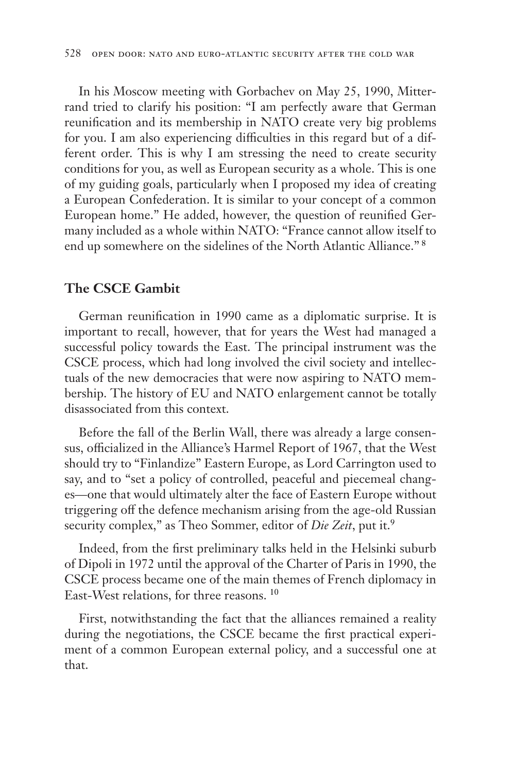<span id="page-9-0"></span>In his Moscow meeting with Gorbachev on May 25, 1990, Mitterrand tried to clarify his position: "I am perfectly aware that German reunification and its membership in NATO create very big problems for you. I am also experiencing difficulties in this regard but of a different order. This is why I am stressing the need to create security conditions for you, as well as European security as a whole. This is one of my guiding goals, particularly when I proposed my idea of creating a European Confederation. It is similar to your concept of a common European home." He added, however, the question of reunified Germany included as a whole within NATO: "France cannot allow itself to end up somewhere on the sidelines of the North Atlantic Alliance." [8](#page-26-0)

#### **The CSCE Gambit**

German reunification in 1990 came as a diplomatic surprise. It is important to recall, however, that for years the West had managed a successful policy towards the East. The principal instrument was the CSCE process, which had long involved the civil society and intellectuals of the new democracies that were now aspiring to NATO membership. The history of EU and NATO enlargement cannot be totally disassociated from this context.

Before the fall of the Berlin Wall, there was already a large consensus, officialized in the Alliance's Harmel Report of 1967, that the West should try to "Finlandize" Eastern Europe, as Lord Carrington used to say, and to "set a policy of controlled, peaceful and piecemeal changes—one that would ultimately alter the face of Eastern Europe without triggering off the defence mechanism arising from the age-old Russian security complex," as Theo Sommer, editor of *Die Zeit*, put it.<sup>9</sup>

Indeed, from the first preliminary talks held in the Helsinki suburb of Dipoli in 1972 until the approval of the Charter of Paris in 1990, the CSCE process became one of the main themes of French diplomacy in East-West relations, for three reasons. [10](#page-26-0)

First, notwithstanding the fact that the alliances remained a reality during the negotiations, the CSCE became the first practical experiment of a common European external policy, and a successful one at that.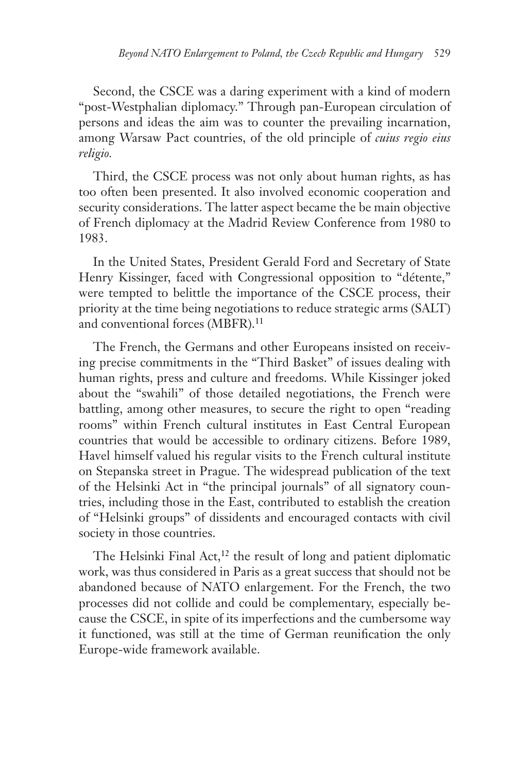<span id="page-10-0"></span>Second, the CSCE was a daring experiment with a kind of modern "post-Westphalian diplomacy." Through pan-European circulation of persons and ideas the aim was to counter the prevailing incarnation, among Warsaw Pact countries, of the old principle of *cuius regio eius religio.*

Third, the CSCE process was not only about human rights, as has too often been presented. It also involved economic cooperation and security considerations. The latter aspect became the be main objective of French diplomacy at the Madrid Review Conference from 1980 to 1983.

In the United States, President Gerald Ford and Secretary of State Henry Kissinger, faced with Congressional opposition to "détente," were tempted to belittle the importance of the CSCE process, their priority at the time being negotiations to reduce strategic arms (SALT) and conventional forces (MBFR).<sup>[11](#page-27-0)</sup>

The French, the Germans and other Europeans insisted on receiving precise commitments in the "Third Basket" of issues dealing with human rights, press and culture and freedoms. While Kissinger joked about the "swahili" of those detailed negotiations, the French were battling, among other measures, to secure the right to open "reading rooms" within French cultural institutes in East Central European countries that would be accessible to ordinary citizens. Before 1989, Havel himself valued his regular visits to the French cultural institute on Stepanska street in Prague. The widespread publication of the text of the Helsinki Act in "the principal journals" of all signatory countries, including those in the East, contributed to establish the creation of "Helsinki groups" of dissidents and encouraged contacts with civil society in those countries.

The Helsinki Final Act, $12$  the result of long and patient diplomatic work, was thus considered in Paris as a great success that should not be abandoned because of NATO enlargement. For the French, the two processes did not collide and could be complementary, especially because the CSCE, in spite of its imperfections and the cumbersome way it functioned, was still at the time of German reunification the only Europe-wide framework available.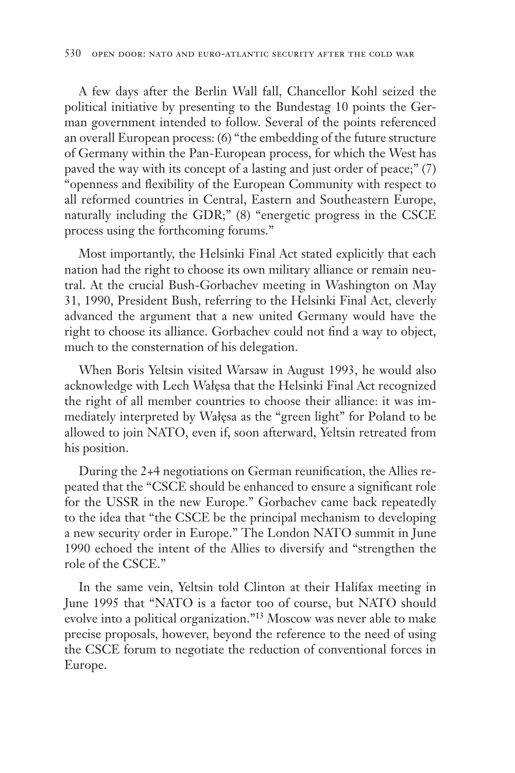<span id="page-11-0"></span>A few days after the Berlin Wall fall, Chancellor Kohl seized the political initiative by presenting to the Bundestag 10 points the German government intended to follow. Several of the points referenced an overall European process: (6) "the embedding of the future structure of Germany within the Pan-European process, for which the West has paved the way with its concept of a lasting and just order of peace;" (7) "openness and flexibility of the European Community with respect to all reformed countries in Central, Eastern and Southeastern Europe, naturally including the GDR;" (8) "energetic progress in the CSCE process using the forthcoming forums."

Most importantly, the Helsinki Final Act stated explicitly that each nation had the right to choose its own military alliance or remain neutral. At the crucial Bush-Gorbachev meeting in Washington on May 31, 1990, President Bush, referring to the Helsinki Final Act, cleverly advanced the argument that a new united Germany would have the right to choose its alliance. Gorbachev could not find a way to object, much to the consternation of his delegation.

When Boris Yeltsin visited Warsaw in August 1993, he would also acknowledge with Lech Wałęsa that the Helsinki Final Act recognized the right of all member countries to choose their alliance: it was immediately interpreted by Wałęsa as the "green light" for Poland to be allowed to join NATO, even if, soon afterward, Yeltsin retreated from his position.

During the 2+4 negotiations on German reunification, the Allies repeated that the "CSCE should be enhanced to ensure a significant role for the USSR in the new Europe." Gorbachev came back repeatedly to the idea that "the CSCE be the principal mechanism to developing a new security order in Europe." The London NATO summit in June 1990 echoed the intent of the Allies to diversify and "strengthen the role of the CSCE."

In the same vein, Yeltsin told Clinton at their Halifax meeting in June 1995 that "NATO is a factor too of course, but NATO should evolve into a political organization.["13](#page-27-0) Moscow was never able to make precise proposals, however, beyond the reference to the need of using the CSCE forum to negotiate the reduction of conventional forces in Europe.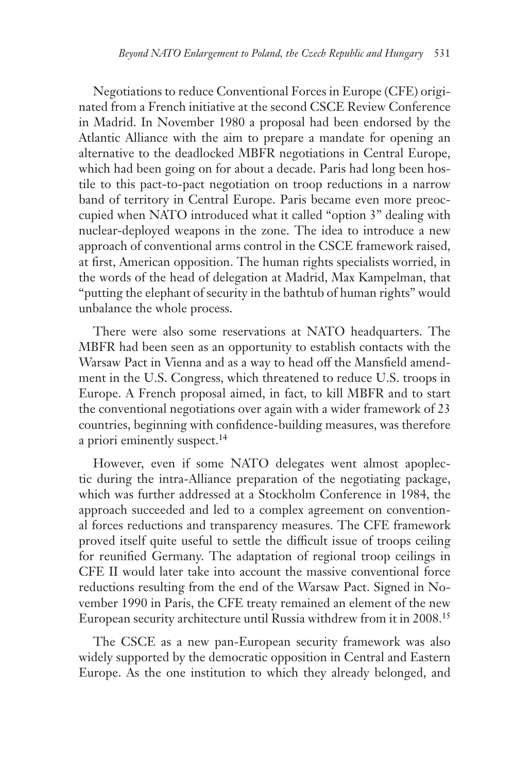<span id="page-12-0"></span>Negotiations to reduce Conventional Forces in Europe (CFE) originated from a French initiative at the second CSCE Review Conference in Madrid. In November 1980 a proposal had been endorsed by the Atlantic Alliance with the aim to prepare a mandate for opening an alternative to the deadlocked MBFR negotiations in Central Europe, which had been going on for about a decade. Paris had long been hostile to this pact-to-pact negotiation on troop reductions in a narrow band of territory in Central Europe. Paris became even more preoccupied when NATO introduced what it called "option 3" dealing with nuclear-deployed weapons in the zone. The idea to introduce a new approach of conventional arms control in the CSCE framework raised, at first, American opposition. The human rights specialists worried, in the words of the head of delegation at Madrid, Max Kampelman, that "putting the elephant of security in the bathtub of human rights" would unbalance the whole process.

There were also some reservations at NATO headquarters. The MBFR had been seen as an opportunity to establish contacts with the Warsaw Pact in Vienna and as a way to head off the Mansfield amendment in the U.S. Congress, which threatened to reduce U.S. troops in Europe. A French proposal aimed, in fact, to kill MBFR and to start the conventional negotiations over again with a wider framework of 23 countries, beginning with confidence-building measures, was therefore a priori eminently suspect.<sup>14</sup>

However, even if some NATO delegates went almost apoplectic during the intra-Alliance preparation of the negotiating package, which was further addressed at a Stockholm Conference in 1984, the approach succeeded and led to a complex agreement on conventional forces reductions and transparency measures. The CFE framework proved itself quite useful to settle the difficult issue of troops ceiling for reunified Germany. The adaptation of regional troop ceilings in CFE II would later take into account the massive conventional force reductions resulting from the end of the Warsaw Pact. Signed in November 1990 in Paris, the CFE treaty remained an element of the new European security architecture until Russia withdrew from it in 2008.[15](#page-27-0)

The CSCE as a new pan-European security framework was also widely supported by the democratic opposition in Central and Eastern Europe. As the one institution to which they already belonged, and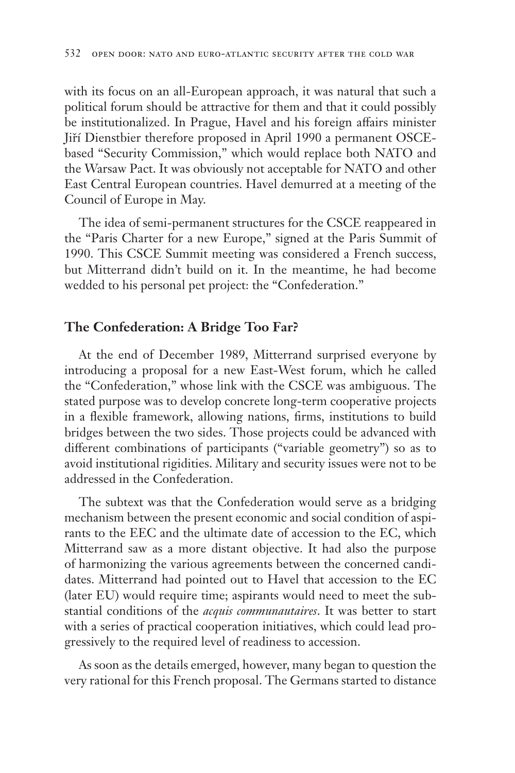with its focus on an all-European approach, it was natural that such a political forum should be attractive for them and that it could possibly be institutionalized. In Prague, Havel and his foreign affairs minister Jiří Dienstbier therefore proposed in April 1990 a permanent OSCEbased "Security Commission," which would replace both NATO and the Warsaw Pact. It was obviously not acceptable for NATO and other East Central European countries. Havel demurred at a meeting of the Council of Europe in May.

The idea of semi-permanent structures for the CSCE reappeared in the "Paris Charter for a new Europe," signed at the Paris Summit of 1990. This CSCE Summit meeting was considered a French success, but Mitterrand didn't build on it. In the meantime, he had become wedded to his personal pet project: the "Confederation."

#### **The Confederation: A Bridge Too Far?**

At the end of December 1989, Mitterrand surprised everyone by introducing a proposal for a new East-West forum, which he called the "Confederation," whose link with the CSCE was ambiguous. The stated purpose was to develop concrete long-term cooperative projects in a flexible framework, allowing nations, firms, institutions to build bridges between the two sides. Those projects could be advanced with different combinations of participants ("variable geometry") so as to avoid institutional rigidities. Military and security issues were not to be addressed in the Confederation.

The subtext was that the Confederation would serve as a bridging mechanism between the present economic and social condition of aspirants to the EEC and the ultimate date of accession to the EC, which Mitterrand saw as a more distant objective. It had also the purpose of harmonizing the various agreements between the concerned candidates. Mitterrand had pointed out to Havel that accession to the EC (later EU) would require time; aspirants would need to meet the substantial conditions of the *acquis communautaires*. It was better to start with a series of practical cooperation initiatives, which could lead progressively to the required level of readiness to accession.

As soon as the details emerged, however, many began to question the very rational for this French proposal. The Germans started to distance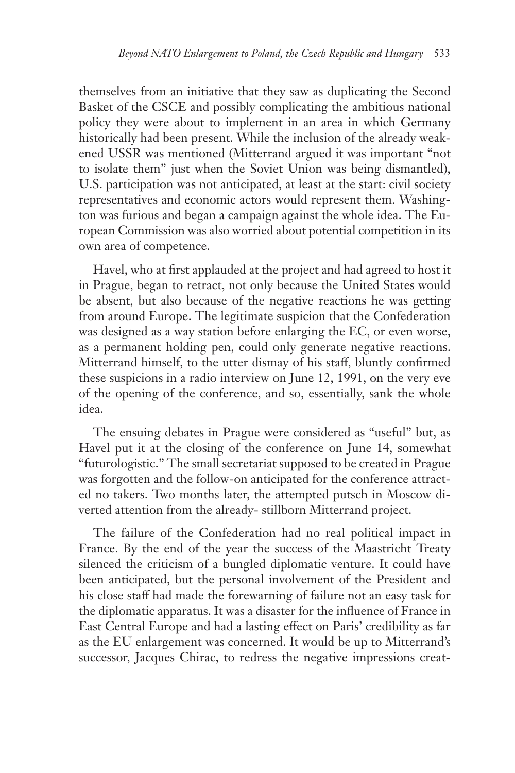themselves from an initiative that they saw as duplicating the Second Basket of the CSCE and possibly complicating the ambitious national policy they were about to implement in an area in which Germany historically had been present. While the inclusion of the already weakened USSR was mentioned (Mitterrand argued it was important "not to isolate them" just when the Soviet Union was being dismantled), U.S. participation was not anticipated, at least at the start: civil society representatives and economic actors would represent them. Washington was furious and began a campaign against the whole idea. The European Commission was also worried about potential competition in its own area of competence.

Havel, who at first applauded at the project and had agreed to host it in Prague, began to retract, not only because the United States would be absent, but also because of the negative reactions he was getting from around Europe. The legitimate suspicion that the Confederation was designed as a way station before enlarging the EC, or even worse, as a permanent holding pen, could only generate negative reactions. Mitterrand himself, to the utter dismay of his staff, bluntly confirmed these suspicions in a radio interview on June 12, 1991, on the very eve of the opening of the conference, and so, essentially, sank the whole idea.

The ensuing debates in Prague were considered as "useful" but, as Havel put it at the closing of the conference on June 14, somewhat "futurologistic." The small secretariat supposed to be created in Prague was forgotten and the follow-on anticipated for the conference attracted no takers. Two months later, the attempted putsch in Moscow diverted attention from the already- stillborn Mitterrand project.

The failure of the Confederation had no real political impact in France. By the end of the year the success of the Maastricht Treaty silenced the criticism of a bungled diplomatic venture. It could have been anticipated, but the personal involvement of the President and his close staff had made the forewarning of failure not an easy task for the diplomatic apparatus. It was a disaster for the influence of France in East Central Europe and had a lasting effect on Paris' credibility as far as the EU enlargement was concerned. It would be up to Mitterrand's successor, Jacques Chirac, to redress the negative impressions creat-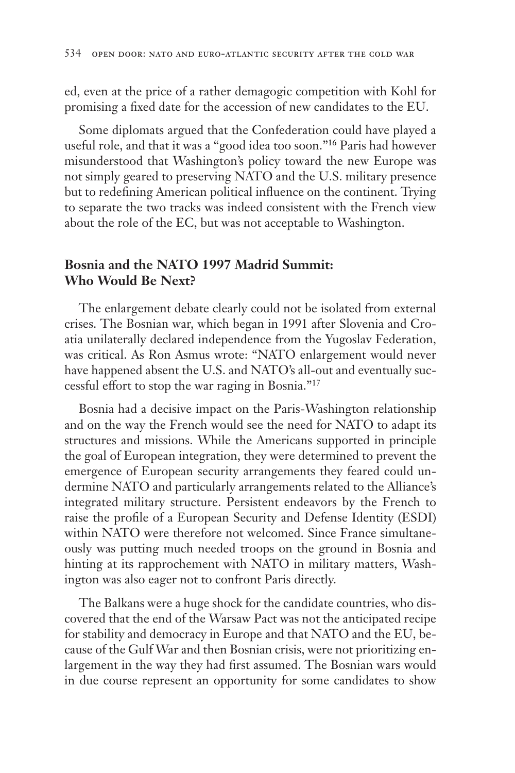<span id="page-15-0"></span>ed, even at the price of a rather demagogic competition with Kohl for promising a fixed date for the accession of new candidates to the EU.

Some diplomats argued that the Confederation could have played a useful role, and that it was a "good idea too soon.["16](#page-27-0) Paris had however misunderstood that Washington's policy toward the new Europe was not simply geared to preserving NATO and the U.S. military presence but to redefining American political influence on the continent. Trying to separate the two tracks was indeed consistent with the French view about the role of the EC, but was not acceptable to Washington.

### **Bosnia and the NATO 1997 Madrid Summit: Who Would Be Next?**

The enlargement debate clearly could not be isolated from external crises. The Bosnian war, which began in 1991 after Slovenia and Croatia unilaterally declared independence from the Yugoslav Federation, was critical. As Ron Asmus wrote: "NATO enlargement would never have happened absent the U.S. and NATO's all-out and eventually successful effort to stop the war raging in Bosnia."[17](#page-27-0)

Bosnia had a decisive impact on the Paris-Washington relationship and on the way the French would see the need for NATO to adapt its structures and missions. While the Americans supported in principle the goal of European integration, they were determined to prevent the emergence of European security arrangements they feared could undermine NATO and particularly arrangements related to the Alliance's integrated military structure. Persistent endeavors by the French to raise the profile of a European Security and Defense Identity (ESDI) within NATO were therefore not welcomed. Since France simultaneously was putting much needed troops on the ground in Bosnia and hinting at its rapprochement with NATO in military matters, Washington was also eager not to confront Paris directly.

The Balkans were a huge shock for the candidate countries, who discovered that the end of the Warsaw Pact was not the anticipated recipe for stability and democracy in Europe and that NATO and the EU, because of the Gulf War and then Bosnian crisis, were not prioritizing enlargement in the way they had first assumed. The Bosnian wars would in due course represent an opportunity for some candidates to show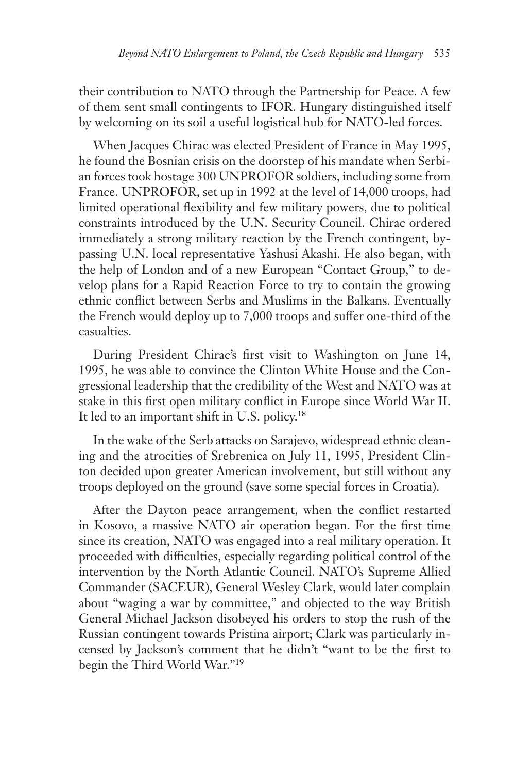<span id="page-16-0"></span>their contribution to NATO through the Partnership for Peace. A few of them sent small contingents to IFOR. Hungary distinguished itself by welcoming on its soil a useful logistical hub for NATO-led forces.

When Jacques Chirac was elected President of France in May 1995, he found the Bosnian crisis on the doorstep of his mandate when Serbian forces took hostage 300 UNPROFOR soldiers, including some from France. UNPROFOR, set up in 1992 at the level of 14,000 troops, had limited operational flexibility and few military powers, due to political constraints introduced by the U.N. Security Council. Chirac ordered immediately a strong military reaction by the French contingent, bypassing U.N. local representative Yashusi Akashi. He also began, with the help of London and of a new European "Contact Group," to develop plans for a Rapid Reaction Force to try to contain the growing ethnic conflict between Serbs and Muslims in the Balkans. Eventually the French would deploy up to 7,000 troops and suffer one-third of the casualties.

During President Chirac's first visit to Washington on June 14, 1995, he was able to convince the Clinton White House and the Congressional leadership that the credibility of the West and NATO was at stake in this first open military conflict in Europe since World War II. It led to an important shift in U.S. policy.[18](#page-27-0)

In the wake of the Serb attacks on Sarajevo, widespread ethnic cleaning and the atrocities of Srebrenica on July 11, 1995, President Clinton decided upon greater American involvement, but still without any troops deployed on the ground (save some special forces in Croatia).

After the Dayton peace arrangement, when the conflict restarted in Kosovo, a massive NATO air operation began. For the first time since its creation, NATO was engaged into a real military operation. It proceeded with difficulties, especially regarding political control of the intervention by the North Atlantic Council. NATO's Supreme Allied Commander (SACEUR), General Wesley Clark, would later complain about "waging a war by committee," and objected to the way British General Michael Jackson disobeyed his orders to stop the rush of the Russian contingent towards Pristina airport; Clark was particularly incensed by Jackson's comment that he didn't "want to be the first to begin the Third World War.["19](#page-27-0)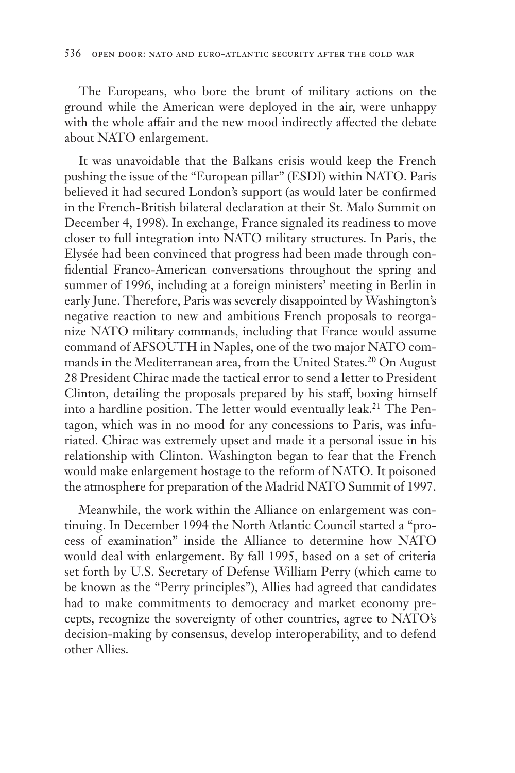<span id="page-17-0"></span>The Europeans, who bore the brunt of military actions on the ground while the American were deployed in the air, were unhappy with the whole affair and the new mood indirectly affected the debate about NATO enlargement.

It was unavoidable that the Balkans crisis would keep the French pushing the issue of the "European pillar" (ESDI) within NATO. Paris believed it had secured London's support (as would later be confirmed in the French-British bilateral declaration at their St. Malo Summit on December 4, 1998). In exchange, France signaled its readiness to move closer to full integration into NATO military structures. In Paris, the Elysée had been convinced that progress had been made through confidential Franco-American conversations throughout the spring and summer of 1996, including at a foreign ministers' meeting in Berlin in early June. Therefore, Paris was severely disappointed by Washington's negative reaction to new and ambitious French proposals to reorganize NATO military commands, including that France would assume command of AFSOUTH in Naples, one of the two major NATO commands in the Mediterranean area, from the United States.<sup>20</sup> On August 28 President Chirac made the tactical error to send a letter to President Clinton, detailing the proposals prepared by his staff, boxing himself into a hardline position. The letter would eventually leak.<sup>21</sup> The Pentagon, which was in no mood for any concessions to Paris, was infuriated. Chirac was extremely upset and made it a personal issue in his relationship with Clinton. Washington began to fear that the French would make enlargement hostage to the reform of NATO. It poisoned the atmosphere for preparation of the Madrid NATO Summit of 1997.

Meanwhile, the work within the Alliance on enlargement was continuing. In December 1994 the North Atlantic Council started a "process of examination" inside the Alliance to determine how NATO would deal with enlargement. By fall 1995, based on a set of criteria set forth by U.S. Secretary of Defense William Perry (which came to be known as the "Perry principles"), Allies had agreed that candidates had to make commitments to democracy and market economy precepts, recognize the sovereignty of other countries, agree to NATO's decision-making by consensus, develop interoperability, and to defend other Allies.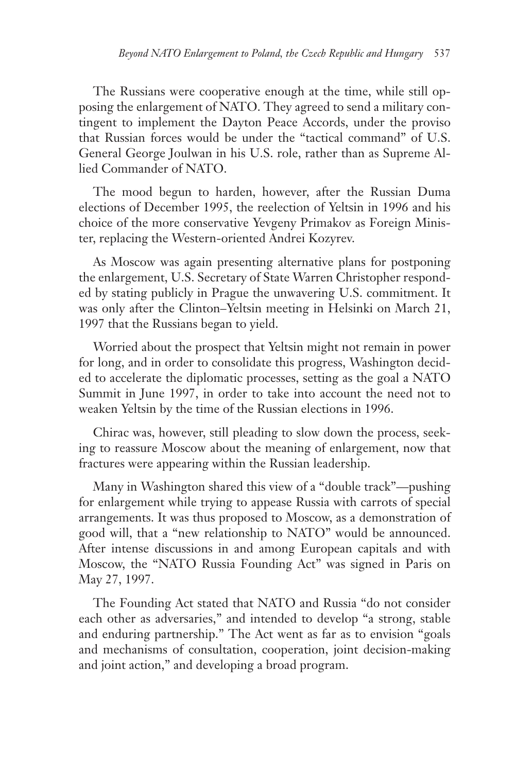The Russians were cooperative enough at the time, while still opposing the enlargement of NATO. They agreed to send a military contingent to implement the Dayton Peace Accords, under the proviso that Russian forces would be under the "tactical command" of U.S. General George Joulwan in his U.S. role, rather than as Supreme Allied Commander of NATO.

The mood begun to harden, however, after the Russian Duma elections of December 1995, the reelection of Yeltsin in 1996 and his choice of the more conservative Yevgeny Primakov as Foreign Minister, replacing the Western-oriented Andrei Kozyrev.

As Moscow was again presenting alternative plans for postponing the enlargement, U.S. Secretary of State Warren Christopher responded by stating publicly in Prague the unwavering U.S. commitment. It was only after the Clinton–Yeltsin meeting in Helsinki on March 21, 1997 that the Russians began to yield.

Worried about the prospect that Yeltsin might not remain in power for long, and in order to consolidate this progress, Washington decided to accelerate the diplomatic processes, setting as the goal a NATO Summit in June 1997, in order to take into account the need not to weaken Yeltsin by the time of the Russian elections in 1996.

Chirac was, however, still pleading to slow down the process, seeking to reassure Moscow about the meaning of enlargement, now that fractures were appearing within the Russian leadership.

Many in Washington shared this view of a "double track"—pushing for enlargement while trying to appease Russia with carrots of special arrangements. It was thus proposed to Moscow, as a demonstration of good will, that a "new relationship to NATO" would be announced. After intense discussions in and among European capitals and with Moscow, the "NATO Russia Founding Act" was signed in Paris on May 27, 1997.

The Founding Act stated that NATO and Russia "do not consider each other as adversaries," and intended to develop "a strong, stable and enduring partnership." The Act went as far as to envision "goals and mechanisms of consultation, cooperation, joint decision-making and joint action," and developing a broad program.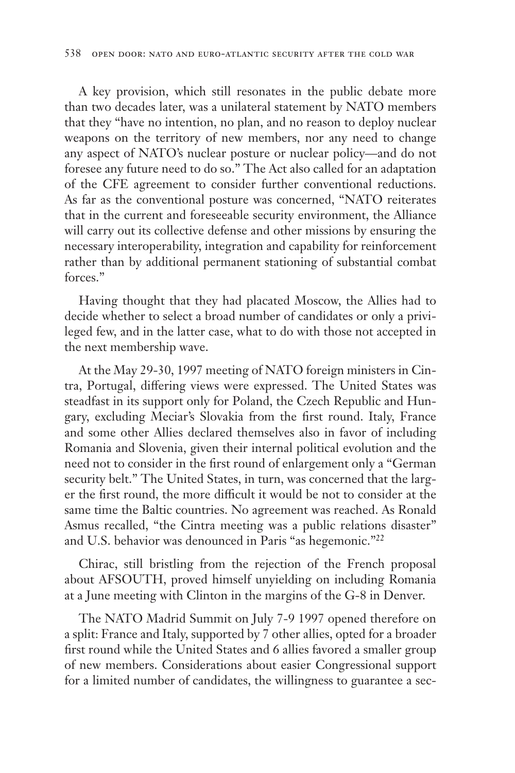<span id="page-19-0"></span>A key provision, which still resonates in the public debate more than two decades later, was a unilateral statement by NATO members that they "have no intention, no plan, and no reason to deploy nuclear weapons on the territory of new members, nor any need to change any aspect of NATO's nuclear posture or nuclear policy—and do not foresee any future need to do so." The Act also called for an adaptation of the CFE agreement to consider further conventional reductions. As far as the conventional posture was concerned, "NATO reiterates that in the current and foreseeable security environment, the Alliance will carry out its collective defense and other missions by ensuring the necessary interoperability, integration and capability for reinforcement rather than by additional permanent stationing of substantial combat forces."

Having thought that they had placated Moscow, the Allies had to decide whether to select a broad number of candidates or only a privileged few, and in the latter case, what to do with those not accepted in the next membership wave.

At the May 29-30, 1997 meeting of NATO foreign ministers in Cintra, Portugal, differing views were expressed. The United States was steadfast in its support only for Poland, the Czech Republic and Hungary, excluding Meciar's Slovakia from the first round. Italy, France and some other Allies declared themselves also in favor of including Romania and Slovenia, given their internal political evolution and the need not to consider in the first round of enlargement only a "German security belt." The United States, in turn, was concerned that the larger the first round, the more difficult it would be not to consider at the same time the Baltic countries. No agreement was reached. As Ronald Asmus recalled, "the Cintra meeting was a public relations disaster" and U.S. behavior was denounced in Paris "as hegemonic.["22](#page-27-0)

Chirac, still bristling from the rejection of the French proposal about AFSOUTH, proved himself unyielding on including Romania at a June meeting with Clinton in the margins of the G-8 in Denver.

The NATO Madrid Summit on July 7-9 1997 opened therefore on a split: France and Italy, supported by 7 other allies, opted for a broader first round while the United States and 6 allies favored a smaller group of new members. Considerations about easier Congressional support for a limited number of candidates, the willingness to guarantee a sec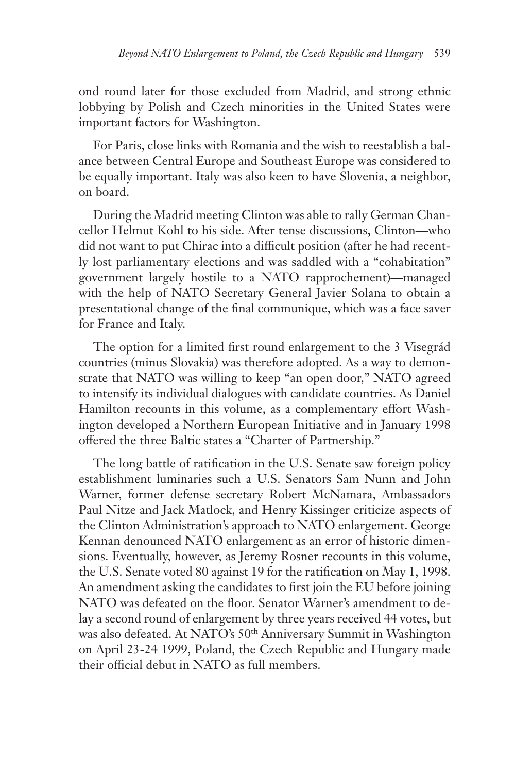ond round later for those excluded from Madrid, and strong ethnic lobbying by Polish and Czech minorities in the United States were important factors for Washington.

For Paris, close links with Romania and the wish to reestablish a balance between Central Europe and Southeast Europe was considered to be equally important. Italy was also keen to have Slovenia, a neighbor, on board.

During the Madrid meeting Clinton was able to rally German Chancellor Helmut Kohl to his side. After tense discussions, Clinton—who did not want to put Chirac into a difficult position (after he had recently lost parliamentary elections and was saddled with a "cohabitation" government largely hostile to a NATO rapprochement)—managed with the help of NATO Secretary General Javier Solana to obtain a presentational change of the final communique, which was a face saver for France and Italy.

The option for a limited first round enlargement to the 3 Visegrád countries (minus Slovakia) was therefore adopted. As a way to demonstrate that NATO was willing to keep "an open door," NATO agreed to intensify its individual dialogues with candidate countries. As Daniel Hamilton recounts in this volume, as a complementary effort Washington developed a Northern European Initiative and in January 1998 offered the three Baltic states a "Charter of Partnership."

The long battle of ratification in the U.S. Senate saw foreign policy establishment luminaries such a U.S. Senators Sam Nunn and John Warner, former defense secretary Robert McNamara, Ambassadors Paul Nitze and Jack Matlock, and Henry Kissinger criticize aspects of the Clinton Administration's approach to NATO enlargement. George Kennan denounced NATO enlargement as an error of historic dimensions. Eventually, however, as Jeremy Rosner recounts in this volume, the U.S. Senate voted 80 against 19 for the ratification on May 1, 1998. An amendment asking the candidates to first join the EU before joining NATO was defeated on the floor. Senator Warner's amendment to delay a second round of enlargement by three years received 44 votes, but was also defeated. At NATO's 50<sup>th</sup> Anniversary Summit in Washington on April 23-24 1999, Poland, the Czech Republic and Hungary made their official debut in NATO as full members.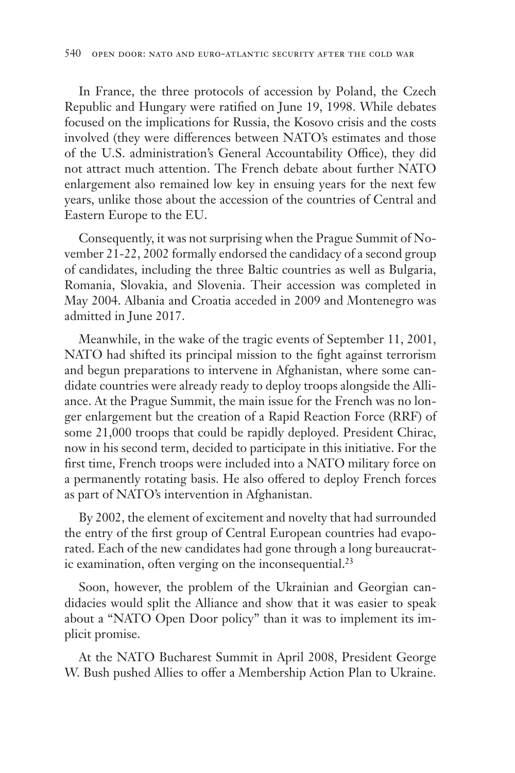<span id="page-21-0"></span>In France, the three protocols of accession by Poland, the Czech Republic and Hungary were ratified on June 19, 1998. While debates focused on the implications for Russia, the Kosovo crisis and the costs involved (they were differences between NATO's estimates and those of the U.S. administration's General Accountability Office), they did not attract much attention. The French debate about further NATO enlargement also remained low key in ensuing years for the next few years, unlike those about the accession of the countries of Central and Eastern Europe to the EU.

Consequently, it was not surprising when the Prague Summit of November 21-22, 2002 formally endorsed the candidacy of a second group of candidates, including the three Baltic countries as well as Bulgaria, Romania, Slovakia, and Slovenia. Their accession was completed in May 2004. Albania and Croatia acceded in 2009 and Montenegro was admitted in June 2017.

Meanwhile, in the wake of the tragic events of September 11, 2001, NATO had shifted its principal mission to the fight against terrorism and begun preparations to intervene in Afghanistan, where some candidate countries were already ready to deploy troops alongside the Alliance. At the Prague Summit, the main issue for the French was no longer enlargement but the creation of a Rapid Reaction Force (RRF) of some 21,000 troops that could be rapidly deployed. President Chirac, now in his second term, decided to participate in this initiative. For the first time, French troops were included into a NATO military force on a permanently rotating basis. He also offered to deploy French forces as part of NATO's intervention in Afghanistan.

By 2002, the element of excitement and novelty that had surrounded the entry of the first group of Central European countries had evaporated. Each of the new candidates had gone through a long bureaucratic examination, often verging on the inconsequential.<sup>23</sup>

Soon, however, the problem of the Ukrainian and Georgian candidacies would split the Alliance and show that it was easier to speak about a "NATO Open Door policy" than it was to implement its implicit promise.

At the NATO Bucharest Summit in April 2008, President George W. Bush pushed Allies to offer a Membership Action Plan to Ukraine.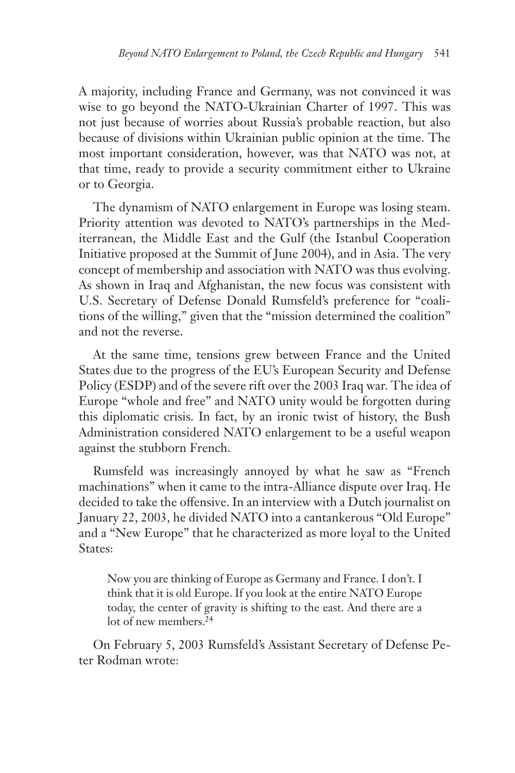<span id="page-22-0"></span>A majority, including France and Germany, was not convinced it was wise to go beyond the NATO-Ukrainian Charter of 1997. This was not just because of worries about Russia's probable reaction, but also because of divisions within Ukrainian public opinion at the time. The most important consideration, however, was that NATO was not, at that time, ready to provide a security commitment either to Ukraine or to Georgia.

The dynamism of NATO enlargement in Europe was losing steam. Priority attention was devoted to NATO's partnerships in the Mediterranean, the Middle East and the Gulf (the Istanbul Cooperation Initiative proposed at the Summit of June 2004), and in Asia. The very concept of membership and association with NATO was thus evolving. As shown in Iraq and Afghanistan, the new focus was consistent with U.S. Secretary of Defense Donald Rumsfeld's preference for "coalitions of the willing," given that the "mission determined the coalition" and not the reverse.

At the same time, tensions grew between France and the United States due to the progress of the EU's European Security and Defense Policy (ESDP) and of the severe rift over the 2003 Iraq war. The idea of Europe "whole and free" and NATO unity would be forgotten during this diplomatic crisis. In fact, by an ironic twist of history, the Bush Administration considered NATO enlargement to be a useful weapon against the stubborn French.

Rumsfeld was increasingly annoyed by what he saw as "French machinations" when it came to the intra-Alliance dispute over Iraq. He decided to take the offensive. In an interview with a Dutch journalist on January 22, 2003, he divided NATO into a cantankerous "Old Europe" and a "New Europe" that he characterized as more loyal to the United States:

Now you are thinking of Europe as Germany and France. I don't. I think that it is old Europe. If you look at the entire NATO Europe today, the center of gravity is shifting to the east. And there are a lot of new members.<sup>24</sup>

On February 5, 2003 Rumsfeld's Assistant Secretary of Defense Peter Rodman wrote: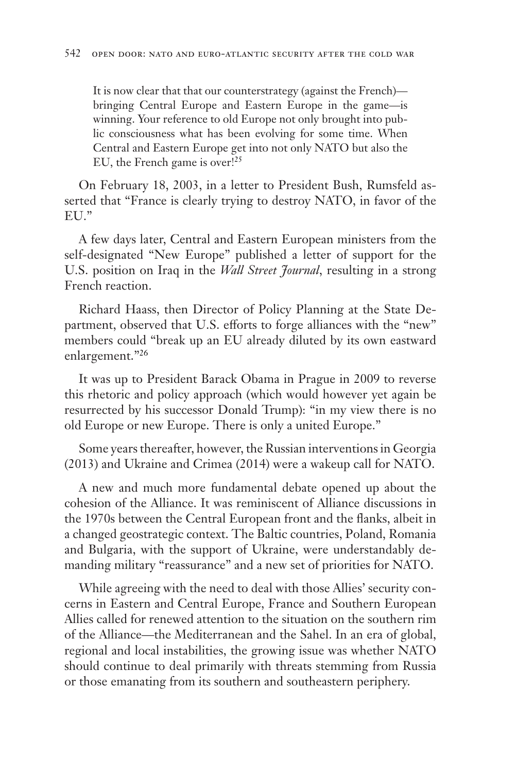<span id="page-23-0"></span>It is now clear that that our counterstrategy (against the French) bringing Central Europe and Eastern Europe in the game—is winning. Your reference to old Europe not only brought into public consciousness what has been evolving for some time. When Central and Eastern Europe get into not only NATO but also the EU, the French game is over![25](#page-28-0)

On February 18, 2003, in a letter to President Bush, Rumsfeld asserted that "France is clearly trying to destroy NATO, in favor of the EU."

A few days later, Central and Eastern European ministers from the self-designated "New Europe" published a letter of support for the U.S. position on Iraq in the *Wall Street Journal*, resulting in a strong French reaction.

Richard Haass, then Director of Policy Planning at the State Department, observed that U.S. efforts to forge alliances with the "new" members could "break up an EU already diluted by its own eastward enlargement."[26](#page-28-0)

It was up to President Barack Obama in Prague in 2009 to reverse this rhetoric and policy approach (which would however yet again be resurrected by his successor Donald Trump): "in my view there is no old Europe or new Europe. There is only a united Europe."

Some years thereafter, however, the Russian interventions in Georgia (2013) and Ukraine and Crimea (2014) were a wakeup call for NATO.

A new and much more fundamental debate opened up about the cohesion of the Alliance. It was reminiscent of Alliance discussions in the 1970s between the Central European front and the flanks, albeit in a changed geostrategic context. The Baltic countries, Poland, Romania and Bulgaria, with the support of Ukraine, were understandably demanding military "reassurance" and a new set of priorities for NATO.

While agreeing with the need to deal with those Allies' security concerns in Eastern and Central Europe, France and Southern European Allies called for renewed attention to the situation on the southern rim of the Alliance—the Mediterranean and the Sahel. In an era of global, regional and local instabilities, the growing issue was whether NATO should continue to deal primarily with threats stemming from Russia or those emanating from its southern and southeastern periphery.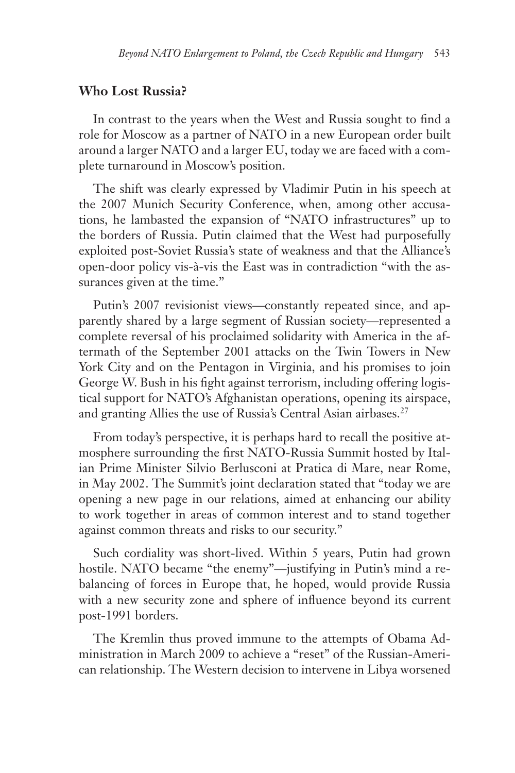#### <span id="page-24-0"></span>**Who Lost Russia?**

In contrast to the years when the West and Russia sought to find a role for Moscow as a partner of NATO in a new European order built around a larger NATO and a larger EU, today we are faced with a complete turnaround in Moscow's position.

The shift was clearly expressed by Vladimir Putin in his speech at the 2007 Munich Security Conference, when, among other accusations, he lambasted the expansion of "NATO infrastructures" up to the borders of Russia. Putin claimed that the West had purposefully exploited post-Soviet Russia's state of weakness and that the Alliance's open-door policy vis-à-vis the East was in contradiction "with the assurances given at the time."

Putin's 2007 revisionist views—constantly repeated since, and apparently shared by a large segment of Russian society—represented a complete reversal of his proclaimed solidarity with America in the aftermath of the September 2001 attacks on the Twin Towers in New York City and on the Pentagon in Virginia, and his promises to join George W. Bush in his fight against terrorism, including offering logistical support for NATO's Afghanistan operations, opening its airspace, and granting Allies the use of Russia's Central Asian airbases.<sup>[27](#page-28-0)</sup>

From today's perspective, it is perhaps hard to recall the positive atmosphere surrounding the first NATO-Russia Summit hosted by Italian Prime Minister Silvio Berlusconi at Pratica di Mare, near Rome, in May 2002. The Summit's joint declaration stated that "today we are opening a new page in our relations, aimed at enhancing our ability to work together in areas of common interest and to stand together against common threats and risks to our security."

Such cordiality was short-lived. Within 5 years, Putin had grown hostile. NATO became "the enemy"—justifying in Putin's mind a rebalancing of forces in Europe that, he hoped, would provide Russia with a new security zone and sphere of influence beyond its current post-1991 borders.

The Kremlin thus proved immune to the attempts of Obama Administration in March 2009 to achieve a "reset" of the Russian-American relationship. The Western decision to intervene in Libya worsened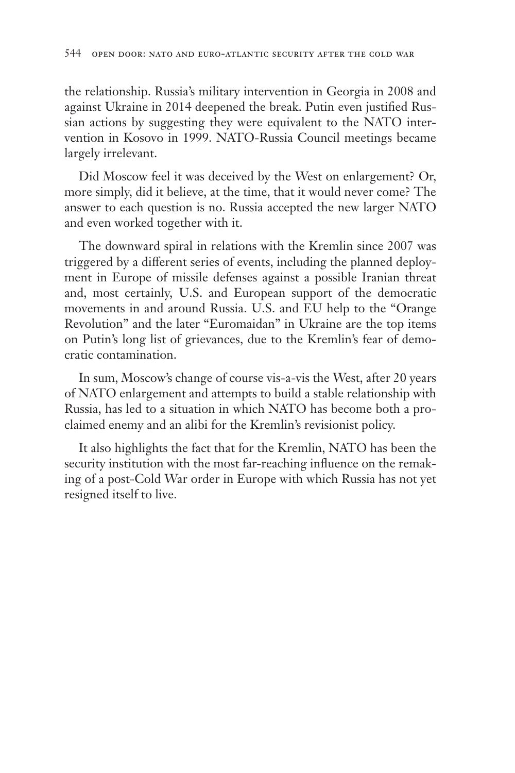the relationship. Russia's military intervention in Georgia in 2008 and against Ukraine in 2014 deepened the break. Putin even justified Russian actions by suggesting they were equivalent to the NATO intervention in Kosovo in 1999. NATO-Russia Council meetings became largely irrelevant.

Did Moscow feel it was deceived by the West on enlargement? Or, more simply, did it believe, at the time, that it would never come? The answer to each question is no. Russia accepted the new larger NATO and even worked together with it.

The downward spiral in relations with the Kremlin since 2007 was triggered by a different series of events, including the planned deployment in Europe of missile defenses against a possible Iranian threat and, most certainly, U.S. and European support of the democratic movements in and around Russia. U.S. and EU help to the "Orange Revolution" and the later "Euromaidan" in Ukraine are the top items on Putin's long list of grievances, due to the Kremlin's fear of democratic contamination.

In sum, Moscow's change of course vis-a-vis the West, after 20 years of NATO enlargement and attempts to build a stable relationship with Russia, has led to a situation in which NATO has become both a proclaimed enemy and an alibi for the Kremlin's revisionist policy.

It also highlights the fact that for the Kremlin, NATO has been the security institution with the most far-reaching influence on the remaking of a post-Cold War order in Europe with which Russia has not yet resigned itself to live.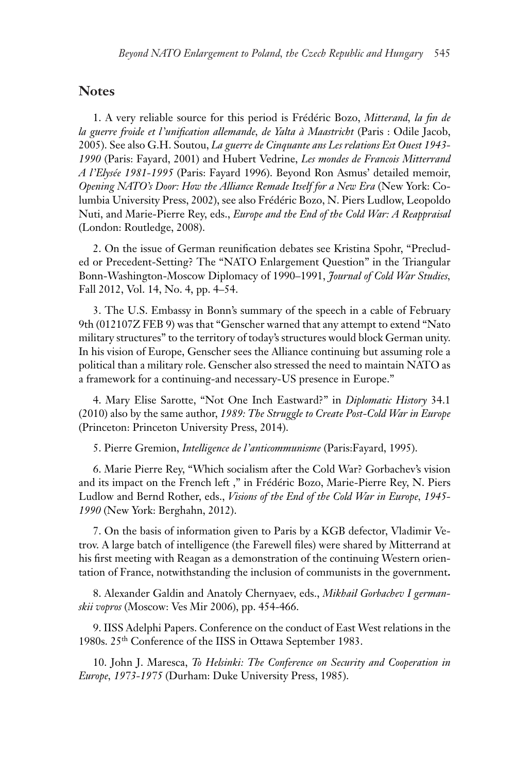#### <span id="page-26-0"></span>**Notes**

[1.](#page-0-0) A very reliable source for this period is Frédéric Bozo, *Mitterand, la fin de la guerre froide et l'unification allemande, de Yalta à Maastricht* (Paris : Odile Jacob, 2005). See also G.H. Soutou, *La guerre de Cinquante ans Les relations Est Ouest 1943- 1990* (Paris: Fayard, 2001) and Hubert Vedrine, *Les mondes de Francois Mitterrand A l'Elysée 1981-1995* (Paris: Fayard 1996). Beyond Ron Asmus' detailed memoir, *Opening NATO's Door: How the Alliance Remade Itself for a New Era* (New York: Columbia University Press, 2002), see also Frédéric Bozo, N. Piers Ludlow, Leopoldo Nuti, and Marie-Pierre Rey, eds., *Europe and the End of the Cold War: A Reappraisal* (London: Routledge, 2008).

[2.](#page-1-0) On the issue of German reunification debates see Kristina Spohr, "Precluded or Precedent-Setting? The "NATO Enlargement Question" in the Triangular Bonn-Washington-Moscow Diplomacy of 1990–1991, *Journal of Cold War Studies,* Fall 2012, Vol. 14, No. 4, pp. 4–54.

[3.](#page-2-0) The U.S. Embassy in Bonn's summary of the speech in a cable of February 9th (012107Z FEB 9) was that "Genscher warned that any attempt to extend "Nato military structures" to the territory of today's structures would block German unity. In his vision of Europe, Genscher sees the Alliance continuing but assuming role a political than a military role. Genscher also stressed the need to maintain NATO as a framework for a continuing-and necessary-US presence in Europe."

[4.](#page-2-0) Mary Elise Sarotte, "Not One Inch Eastward?" in *Diplomatic History* 34.1 (2010) also by the same author, *1989: The Struggle to Create Post-Cold War in Europe* (Princeton: Princeton University Press, 2014).

[5.](#page-7-0) Pierre Gremion, *Intelligence de l'anticommunisme* (Paris:Fayard, 1995).

[6.](#page-7-0) Marie Pierre Rey, "Which socialism after the Cold War? Gorbachev's vision and its impact on the French left ," in Frédéric Bozo, Marie-Pierre Rey, N. Piers Ludlow and Bernd Rother, eds., *Visions of the End of the Cold War in Europe, 1945- 1990* (New York: Berghahn, 2012).

[7.](#page-8-0) On the basis of information given to Paris by a KGB defector, Vladimir Vetrov. A large batch of intelligence (the Farewell files) were shared by Mitterrand at his first meeting with Reagan as a demonstration of the continuing Western orientation of France, notwithstanding the inclusion of communists in the government**.** 

[8.](#page-9-0) Alexander Galdin and Anatoly Chernyaev, eds., *Mikhail Gorbachev I germanskii vopros* (Moscow: Ves Mir 2006), pp. 454-466.

[9.](#page-9-0) IISS Adelphi Papers. Conference on the conduct of East West relations in the 1980s. 25<sup>th</sup> Conference of the IISS in Ottawa September 1983.

[10](#page-9-0). John J. Maresca, *To Helsinki: The Conference on Security and Cooperation in Europe, 1973-1975* (Durham: Duke University Press, 1985).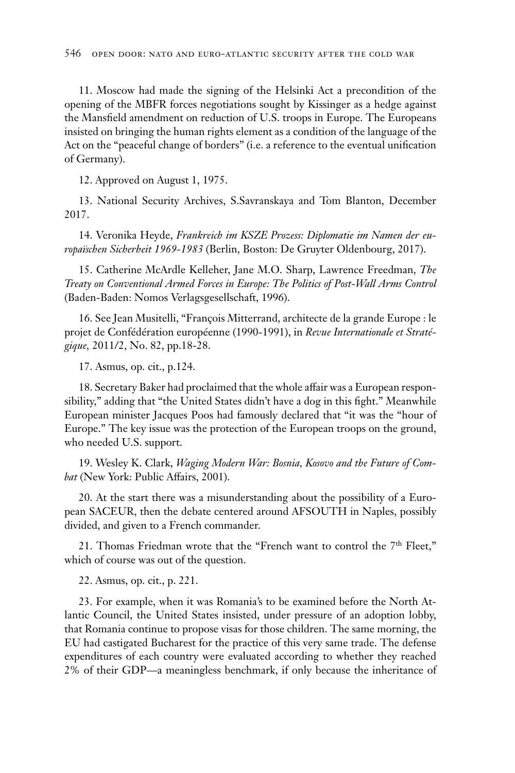<span id="page-27-0"></span>[11](#page-10-0). Moscow had made the signing of the Helsinki Act a precondition of the opening of the MBFR forces negotiations sought by Kissinger as a hedge against the Mansfield amendment on reduction of U.S. troops in Europe. The Europeans insisted on bringing the human rights element as a condition of the language of the Act on the "peaceful change of borders" (i.e. a reference to the eventual unification of Germany).

[12](#page-10-0). Approved on August 1, 1975.

[13](#page-11-0). National Security Archives, S.Savranskaya and Tom Blanton, December 2017.

[14](#page-12-0). Veronika Heyde, *Frankreich im KSZE Prozess: Diplomatie im Namen der europaïschen Sicherheit 1969-1983* (Berlin, Boston: De Gruyter Oldenbourg, 2017).

[15](#page-12-0). Catherine McArdle Kelleher, Jane M.O. Sharp, Lawrence Freedman, *The Treaty on Conventional Armed Forces in Europe: The Politics of Post-Wall Arms Control* (Baden-Baden: Nomos Verlagsgesellschaft, 1996).

[16](#page-15-0). See Jean Musitelli, "François Mitterrand, architecte de la grande Europe : le projet de Confédération européenne (1990-1991), in *Revue Internationale et Stratégique,* 2011/2, No. 82, pp.18-28.

[17](#page-15-0). Asmus, op. cit., p.124.

[18](#page-16-0). Secretary Baker had proclaimed that the whole affair was a European responsibility," adding that "the United States didn't have a dog in this fight." Meanwhile European minister Jacques Poos had famously declared that "it was the "hour of Europe." The key issue was the protection of the European troops on the ground, who needed U.S. support.

[19](#page-16-0). Wesley K. Clark, *Waging Modern War: Bosnia, Kosovo and the Future of Combat* (New York: Public Affairs, 2001).

[20](#page-17-0). At the start there was a misunderstanding about the possibility of a European SACEUR, then the debate centered around AFSOUTH in Naples, possibly divided, and given to a French commander.

[21](#page-17-0). Thomas Friedman wrote that the "French want to control the 7<sup>th</sup> Fleet," which of course was out of the question.

[22](#page-19-0). Asmus, op. cit., p. 221.

[23](#page-21-0). For example, when it was Romania's to be examined before the North Atlantic Council, the United States insisted, under pressure of an adoption lobby, that Romania continue to propose visas for those children. The same morning, the EU had castigated Bucharest for the practice of this very same trade. The defense expenditures of each country were evaluated according to whether they reached 2% of their GDP—a meaningless benchmark, if only because the inheritance of